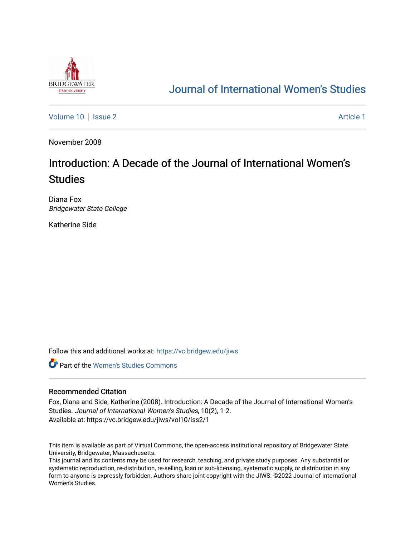

## [Journal of International Women's Studies](https://vc.bridgew.edu/jiws)

[Volume 10](https://vc.bridgew.edu/jiws/vol10) | [Issue 2](https://vc.bridgew.edu/jiws/vol10/iss2) Article 1

November 2008

## Introduction: A Decade of the Journal of International Women's **Studies**

Diana Fox Bridgewater State College

Katherine Side

Follow this and additional works at: [https://vc.bridgew.edu/jiws](https://vc.bridgew.edu/jiws?utm_source=vc.bridgew.edu%2Fjiws%2Fvol10%2Fiss2%2F1&utm_medium=PDF&utm_campaign=PDFCoverPages)

**C** Part of the Women's Studies Commons

## Recommended Citation

Fox, Diana and Side, Katherine (2008). Introduction: A Decade of the Journal of International Women's Studies. Journal of International Women's Studies, 10(2), 1-2. Available at: https://vc.bridgew.edu/jiws/vol10/iss2/1

This item is available as part of Virtual Commons, the open-access institutional repository of Bridgewater State University, Bridgewater, Massachusetts.

This journal and its contents may be used for research, teaching, and private study purposes. Any substantial or systematic reproduction, re-distribution, re-selling, loan or sub-licensing, systematic supply, or distribution in any form to anyone is expressly forbidden. Authors share joint copyright with the JIWS. ©2022 Journal of International Women's Studies.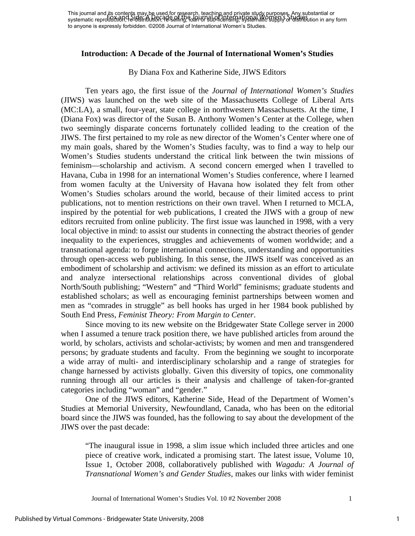## **Introduction: A Decade of the Journal of International Women's Studies**

By Diana Fox and Katherine Side, JIWS Editors

Ten years ago, the first issue of the *Journal of International Women's Studies* (JIWS) was launched on the web site of the Massachusetts College of Liberal Arts (MC:LA), a small, four-year, state college in northwestern Massachusetts. At the time, I (Diana Fox) was director of the Susan B. Anthony Women's Center at the College, when two seemingly disparate concerns fortunately collided leading to the creation of the JIWS. The first pertained to my role as new director of the Women's Center where one of my main goals, shared by the Women's Studies faculty, was to find a way to help our Women's Studies students understand the critical link between the twin missions of feminism—scholarship and activism. A second concern emerged when I travelled to Havana, Cuba in 1998 for an international Women's Studies conference, where I learned from women faculty at the University of Havana how isolated they felt from other Women's Studies scholars around the world, because of their limited access to print publications, not to mention restrictions on their own travel. When I returned to MCLA, inspired by the potential for web publications, I created the JIWS with a group of new editors recruited from online publicity. The first issue was launched in 1998, with a very local objective in mind: to assist our students in connecting the abstract theories of gender inequality to the experiences, struggles and achievements of women worldwide; and a transnational agenda: to forge international connections, understanding and opportunities through open-access web publishing. In this sense, the JIWS itself was conceived as an embodiment of scholarship and activism: we defined its mission as an effort to articulate and analyze intersectional relationships across conventional divides of global North/South publishing; "Western" and "Third World" feminisms; graduate students and established scholars; as well as encouraging feminist partnerships between women and men as "comrades in struggle" as bell hooks has urged in her 1984 book published by South End Press, *Feminist Theory: From Margin to Center*.

Since moving to its new website on the Bridgewater State College server in 2000 when I assumed a tenure track position there, we have published articles from around the world, by scholars, activists and scholar-activists; by women and men and transgendered persons; by graduate students and faculty. From the beginning we sought to incorporate a wide array of multi- and interdisciplinary scholarship and a range of strategies for change harnessed by activists globally. Given this diversity of topics, one commonality running through all our articles is their analysis and challenge of taken-for-granted categories including "woman" and "gender."

 One of the JIWS editors, Katherine Side, Head of the Department of Women's Studies at Memorial University, Newfoundland, Canada, who has been on the editorial board since the JIWS was founded, has the following to say about the development of the JIWS over the past decade:

"The inaugural issue in 1998, a slim issue which included three articles and one piece of creative work, indicated a promising start. The latest issue, Volume 10, Issue 1, October 2008, collaboratively published with *Wagadu: A Journal of Transnational Women's and Gender Studies,* makes our links with wider feminist

Journal of International Women's Studies Vol. 10 #2 November 2008 1

1